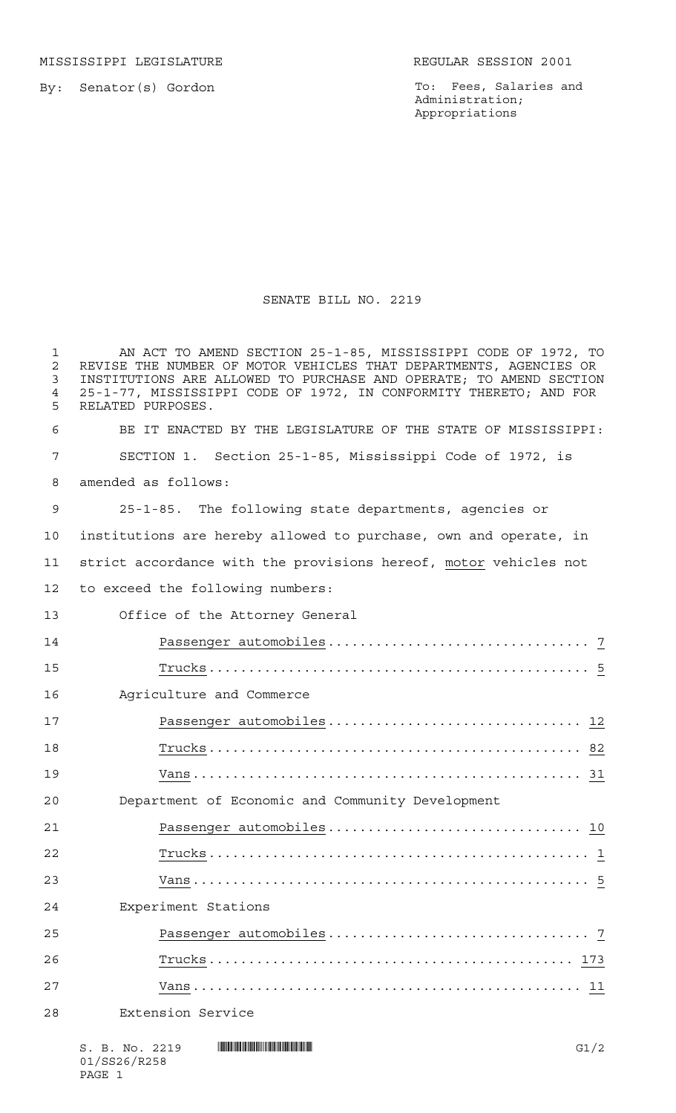MISSISSIPPI LEGISLATURE **REGULAR SESSION 2001** 

By: Senator(s) Gordon

To: Fees, Salaries and Administration; Appropriations

## SENATE BILL NO. 2219

 AN ACT TO AMEND SECTION 25-1-85, MISSISSIPPI CODE OF 1972, TO REVISE THE NUMBER OF MOTOR VEHICLES THAT DEPARTMENTS, AGENCIES OR INSTITUTIONS ARE ALLOWED TO PURCHASE AND OPERATE; TO AMEND SECTION 25-1-77, MISSISSIPPI CODE OF 1972, IN CONFORMITY THERETO; AND FOR RELATED PURPOSES. BE IT ENACTED BY THE LEGISLATURE OF THE STATE OF MISSISSIPPI: SECTION 1. Section 25-1-85, Mississippi Code of 1972, is amended as follows: 25-1-85. The following state departments, agencies or institutions are hereby allowed to purchase, own and operate, in strict accordance with the provisions hereof, motor vehicles not to exceed the following numbers: Office of the Attorney General Passenger automobiles................................. 7 Trucks................................................ 5 Agriculture and Commerce Passenger automobiles................................ 12 Trucks............................................... 82 Vans................................................. 31 Department of Economic and Community Development Passenger automobiles................................ 10 Trucks................................................ 1 Vans.................................................. 5 Experiment Stations Passenger automobiles................................. 7 Trucks.............................................. 173 Vans................................................. 11 Extension Service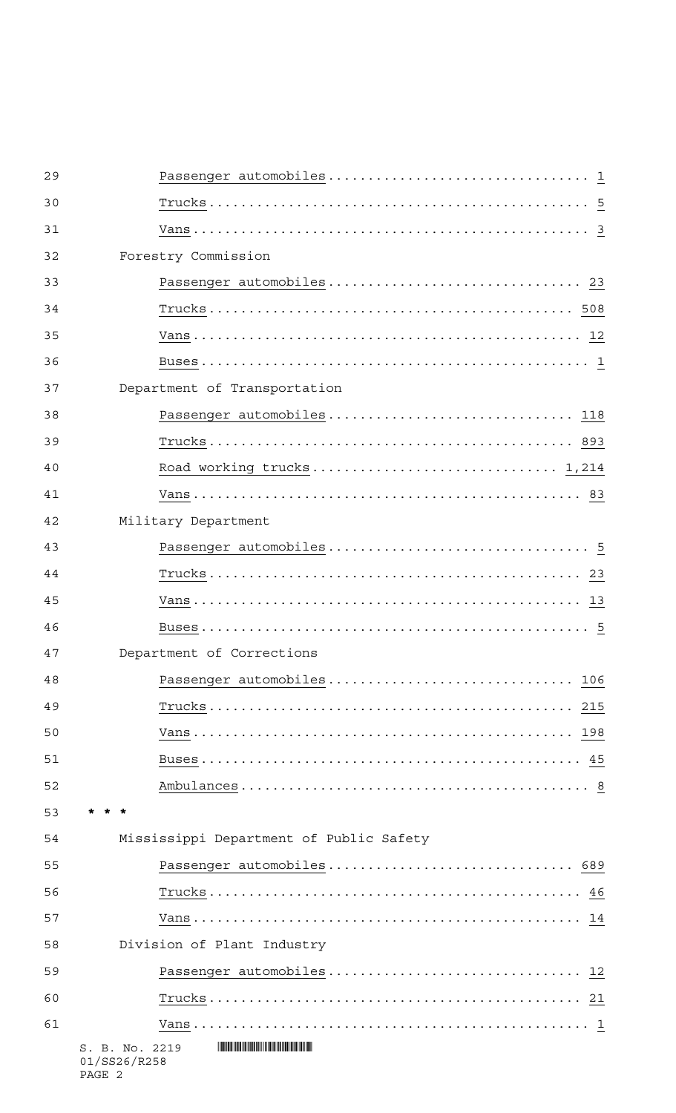| 29 |                                                                                         |
|----|-----------------------------------------------------------------------------------------|
| 30 |                                                                                         |
| 31 |                                                                                         |
| 32 | Forestry Commission                                                                     |
| 33 | Passenger automobiles 23                                                                |
| 34 |                                                                                         |
| 35 |                                                                                         |
| 36 |                                                                                         |
| 37 | Department of Transportation                                                            |
| 38 | Passenger automobiles 118                                                               |
| 39 |                                                                                         |
| 40 |                                                                                         |
| 41 |                                                                                         |
| 42 | Military Department                                                                     |
| 43 |                                                                                         |
| 44 |                                                                                         |
| 45 |                                                                                         |
| 46 |                                                                                         |
| 47 | Department of Corrections                                                               |
| 48 | Passenger automobiles 106                                                               |
| 49 |                                                                                         |
| 50 |                                                                                         |
| 51 |                                                                                         |
| 52 |                                                                                         |
| 53 |                                                                                         |
| 54 | Mississippi Department of Public Safety                                                 |
| 55 | Passenger automobiles 689                                                               |
| 56 |                                                                                         |
| 57 |                                                                                         |
| 58 | Division of Plant Industry                                                              |
| 59 | Passenger automobiles 12                                                                |
| 60 |                                                                                         |
| 61 |                                                                                         |
|    | <b>THE REAL PROPERTY AND RELEASED FOR A</b><br>S. B. No. 2219<br>01/SS26/R258<br>PAGE 2 |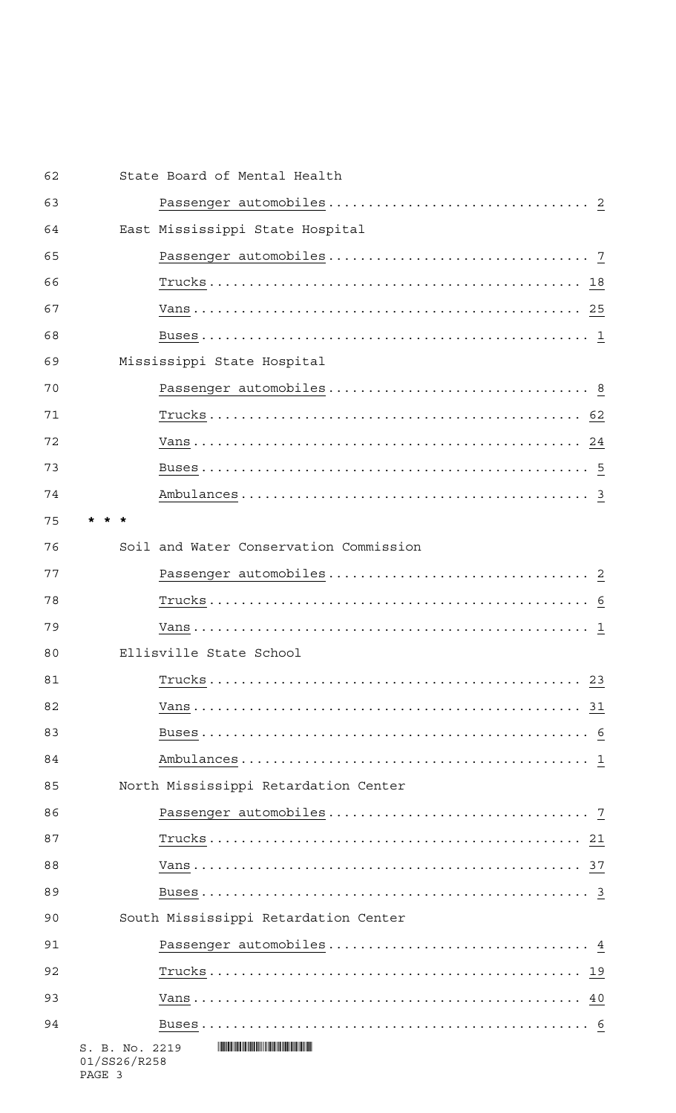| 62 | State Board of Mental Health             |  |
|----|------------------------------------------|--|
| 63 |                                          |  |
| 64 | East Mississippi State Hospital          |  |
| 65 |                                          |  |
| 66 |                                          |  |
| 67 |                                          |  |
| 68 |                                          |  |
| 69 | Mississippi State Hospital               |  |
| 70 |                                          |  |
| 71 |                                          |  |
| 72 |                                          |  |
| 73 |                                          |  |
| 74 |                                          |  |
| 75 |                                          |  |
| 76 | Soil and Water Conservation Commission   |  |
| 77 |                                          |  |
| 78 |                                          |  |
| 79 |                                          |  |
| 80 | Ellisville State School                  |  |
| 81 |                                          |  |
| 82 |                                          |  |
| 83 |                                          |  |
| 84 |                                          |  |
| 85 | North Mississippi Retardation Center     |  |
| 86 |                                          |  |
| 87 |                                          |  |
| 88 |                                          |  |
| 89 |                                          |  |
| 90 | South Mississippi Retardation Center     |  |
| 91 |                                          |  |
| 92 |                                          |  |
| 93 |                                          |  |
| 94 |                                          |  |
|    | S. B. No. 2219<br>01/SS26/R258<br>PAGE 3 |  |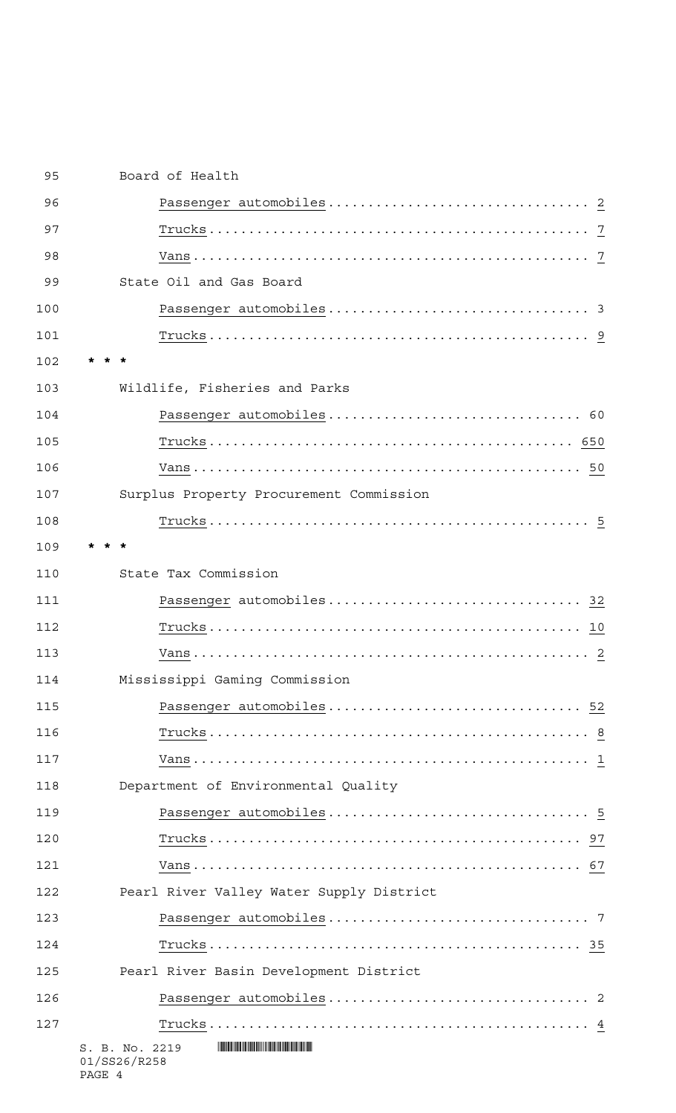| 95  | Board of Health                          |
|-----|------------------------------------------|
| 96  |                                          |
| 97  |                                          |
| 98  |                                          |
| 99  | State Oil and Gas Board                  |
| 100 |                                          |
| 101 |                                          |
| 102 |                                          |
| 103 | Wildlife, Fisheries and Parks            |
| 104 |                                          |
| 105 |                                          |
| 106 |                                          |
| 107 | Surplus Property Procurement Commission  |
| 108 |                                          |
| 109 |                                          |
| 110 | State Tax Commission                     |
| 111 |                                          |
| 112 |                                          |
| 113 |                                          |
| 114 | Mississippi Gaming Commission            |
| 115 |                                          |
| 116 |                                          |
| 117 |                                          |
| 118 | Department of Environmental Quality      |
| 119 |                                          |
| 120 |                                          |
| 121 |                                          |
| 122 | Pearl River Valley Water Supply District |
| 123 |                                          |
| 124 |                                          |
| 125 | Pearl River Basin Development District   |
| 126 |                                          |
| 127 |                                          |
|     | S. B. No. 2219<br>01/SS26/R258           |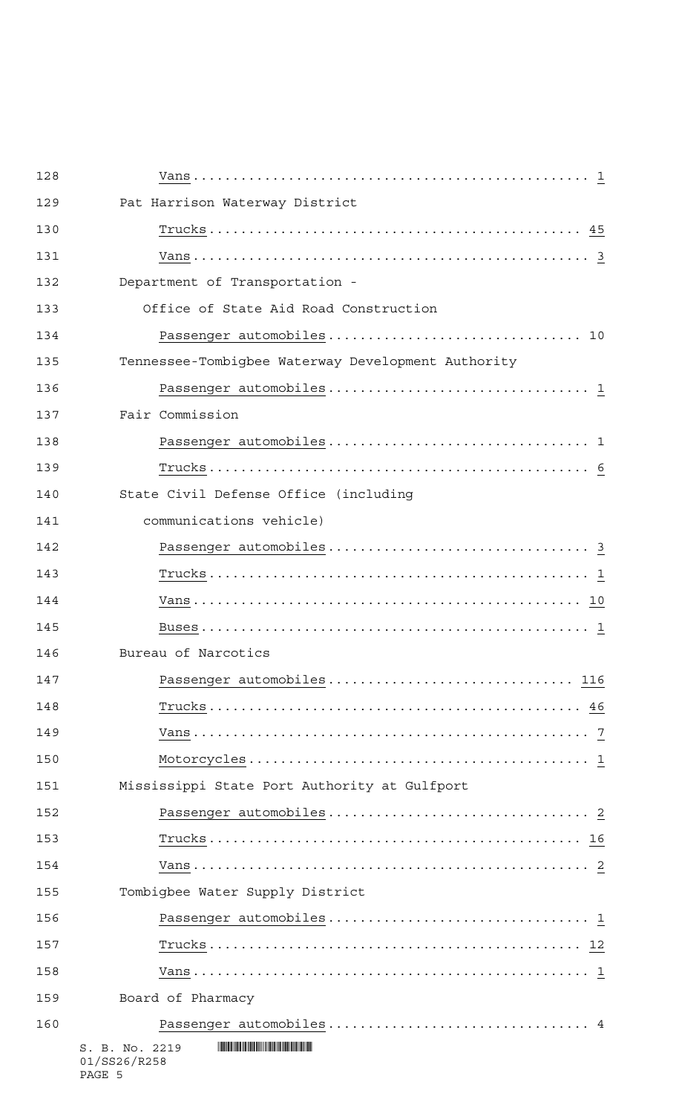| 128 |                                                                                                                           |
|-----|---------------------------------------------------------------------------------------------------------------------------|
| 129 | Pat Harrison Waterway District                                                                                            |
| 130 |                                                                                                                           |
| 131 |                                                                                                                           |
| 132 | Department of Transportation -                                                                                            |
| 133 | Office of State Aid Road Construction                                                                                     |
| 134 |                                                                                                                           |
| 135 | Tennessee-Tombigbee Waterway Development Authority                                                                        |
| 136 |                                                                                                                           |
| 137 | Fair Commission                                                                                                           |
| 138 |                                                                                                                           |
| 139 |                                                                                                                           |
| 140 | State Civil Defense Office (including                                                                                     |
| 141 | communications vehicle)                                                                                                   |
| 142 |                                                                                                                           |
| 143 |                                                                                                                           |
| 144 |                                                                                                                           |
| 145 |                                                                                                                           |
| 146 | Bureau of Narcotics                                                                                                       |
| 147 | Passenger automobiles 116                                                                                                 |
| 148 |                                                                                                                           |
| 149 |                                                                                                                           |
| 150 |                                                                                                                           |
| 151 | Mississippi State Port Authority at Gulfport                                                                              |
| 152 |                                                                                                                           |
| 153 |                                                                                                                           |
| 154 |                                                                                                                           |
| 155 | Tombigbee Water Supply District                                                                                           |
| 156 |                                                                                                                           |
| 157 |                                                                                                                           |
| 158 |                                                                                                                           |
| 159 | Board of Pharmacy                                                                                                         |
| 160 |                                                                                                                           |
|     | <b>THE REAL PROPERTY AND RELEASED FOR DISPLACING THE RELEASED FOR A STATE</b><br>S. B. No. 2219<br>01/SS26/R258<br>PAGE 5 |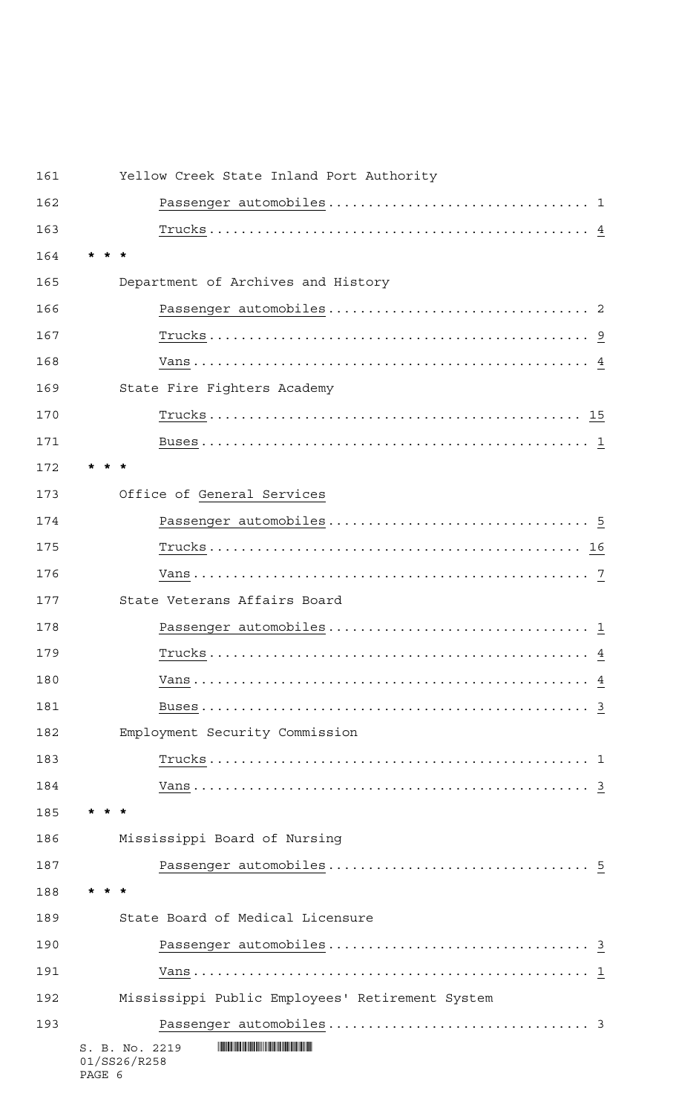| 161 | Yellow Creek State Inland Port Authority        |
|-----|-------------------------------------------------|
| 162 |                                                 |
| 163 |                                                 |
| 164 |                                                 |
| 165 | Department of Archives and History              |
| 166 |                                                 |
| 167 |                                                 |
| 168 |                                                 |
| 169 | State Fire Fighters Academy                     |
| 170 |                                                 |
| 171 |                                                 |
| 172 |                                                 |
| 173 | Office of General Services                      |
| 174 |                                                 |
| 175 |                                                 |
| 176 |                                                 |
| 177 | State Veterans Affairs Board                    |
| 178 |                                                 |
| 179 |                                                 |
| 180 |                                                 |
| 181 |                                                 |
| 182 | Employment Security Commission                  |
| 183 |                                                 |
| 184 |                                                 |
| 185 |                                                 |
| 186 | Mississippi Board of Nursing                    |
| 187 |                                                 |
| 188 |                                                 |
| 189 | State Board of Medical Licensure                |
| 190 |                                                 |
| 191 |                                                 |
| 192 | Mississippi Public Employees' Retirement System |
| 193 |                                                 |
|     | S. B. No. 2219<br>01/SS26/R258<br>PAGE 6        |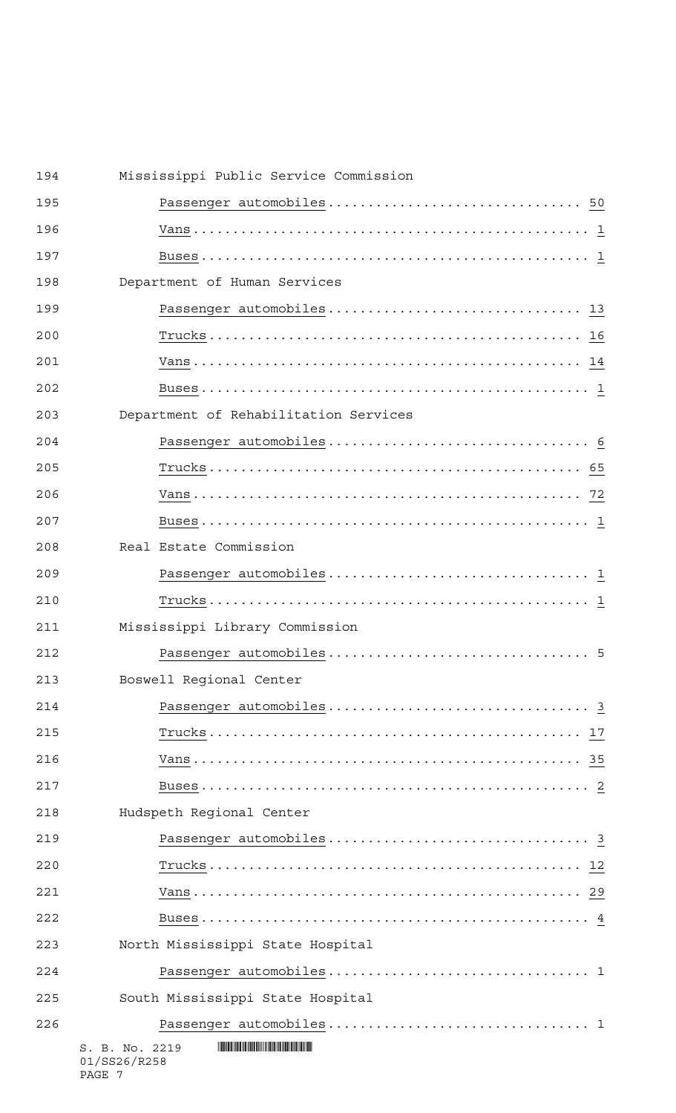| 194 |                                | Mississippi Public Service Commission |
|-----|--------------------------------|---------------------------------------|
| 195 |                                |                                       |
| 196 |                                |                                       |
| 197 |                                |                                       |
| 198 |                                | Department of Human Services          |
| 199 |                                |                                       |
| 200 |                                |                                       |
| 201 |                                |                                       |
| 202 |                                |                                       |
| 203 |                                | Department of Rehabilitation Services |
| 204 |                                |                                       |
| 205 |                                |                                       |
| 206 |                                |                                       |
| 207 |                                |                                       |
| 208 |                                | Real Estate Commission                |
| 209 |                                |                                       |
| 210 |                                |                                       |
| 211 |                                | Mississippi Library Commission        |
| 212 |                                |                                       |
| 213 |                                | Boswell Regional Center               |
| 214 |                                |                                       |
| 215 |                                |                                       |
| 216 |                                |                                       |
| 217 |                                |                                       |
| 218 |                                | Hudspeth Regional Center              |
| 219 |                                |                                       |
| 220 |                                |                                       |
| 221 |                                |                                       |
| 222 |                                |                                       |
| 223 |                                | North Mississippi State Hospital      |
| 224 |                                |                                       |
| 225 |                                | South Mississippi State Hospital      |
| 226 |                                |                                       |
|     | S. B. No. 2219<br>01/SS26/R258 |                                       |

PAGE 7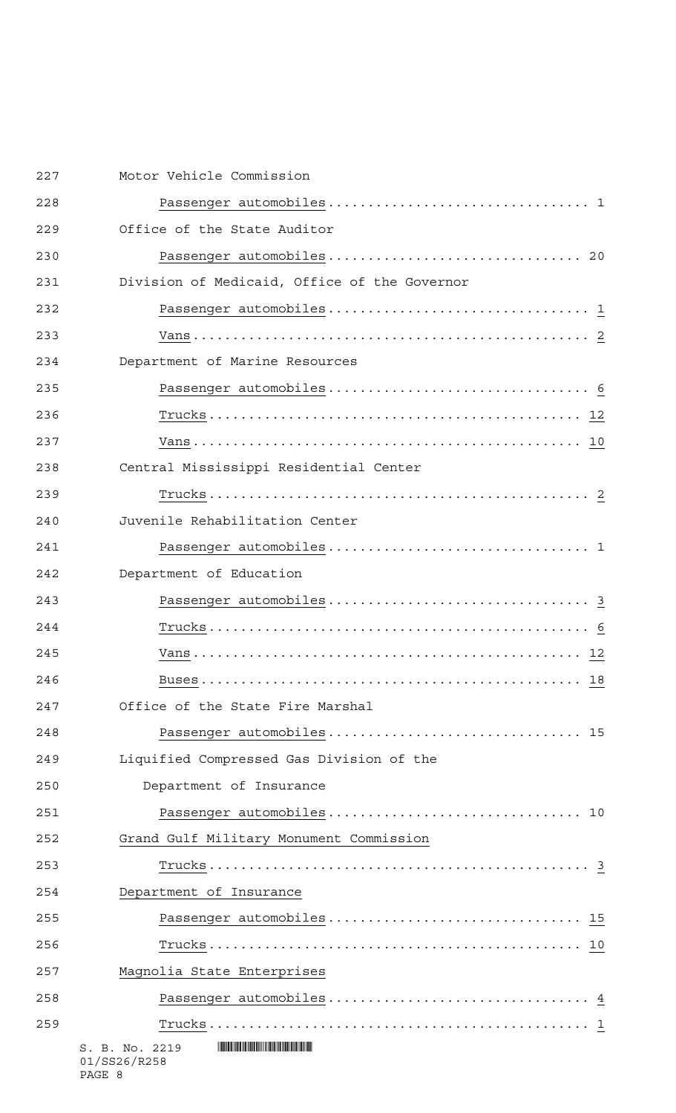| 227 | Motor Vehicle Commission                     |
|-----|----------------------------------------------|
| 228 |                                              |
| 229 | Office of the State Auditor                  |
| 230 |                                              |
| 231 | Division of Medicaid, Office of the Governor |
| 232 |                                              |
| 233 |                                              |
| 234 | Department of Marine Resources               |
| 235 |                                              |
| 236 |                                              |
| 237 |                                              |
| 238 | Central Mississippi Residential Center       |
| 239 |                                              |
| 240 | Juvenile Rehabilitation Center               |
| 241 |                                              |
| 242 | Department of Education                      |
| 243 |                                              |
| 244 |                                              |
| 245 |                                              |
| 246 |                                              |
| 247 | Office of the State Fire Marshal             |
| 248 | Passenger automobiles 15                     |
| 249 | Liquified Compressed Gas Division of the     |
| 250 | Department of Insurance                      |
| 251 |                                              |
| 252 | Grand Gulf Military Monument Commission      |
| 253 |                                              |
| 254 | Department of Insurance                      |
| 255 | Passenger automobiles 15                     |
| 256 |                                              |
| 257 | Magnolia State Enterprises                   |
| 258 |                                              |
| 259 |                                              |
|     | S. B. No. 2219<br>01/SS26/R258               |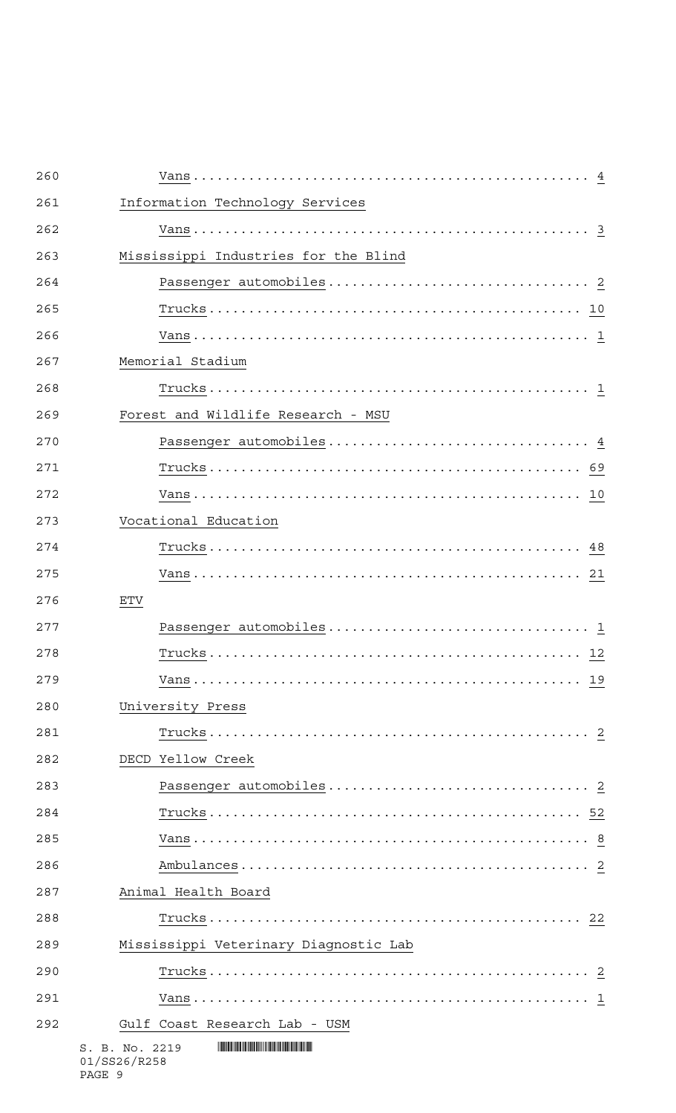| 260 |                                       |
|-----|---------------------------------------|
| 261 | Information Technology Services       |
| 262 |                                       |
| 263 | Mississippi Industries for the Blind  |
| 264 |                                       |
| 265 |                                       |
| 266 |                                       |
| 267 | Memorial Stadium                      |
| 268 |                                       |
| 269 | Forest and Wildlife Research - MSU    |
| 270 |                                       |
| 271 |                                       |
| 272 |                                       |
| 273 | Vocational Education                  |
| 274 |                                       |
| 275 |                                       |
| 276 | <b>ETV</b>                            |
| 277 |                                       |
| 278 |                                       |
| 279 |                                       |
| 280 | University Press                      |
| 281 |                                       |
| 282 | DECD Yellow Creek                     |
| 283 |                                       |
| 284 |                                       |
| 285 |                                       |
| 286 |                                       |
| 287 | Animal Health Board                   |
| 288 |                                       |
| 289 | Mississippi Veterinary Diagnostic Lab |
| 290 |                                       |
| 291 |                                       |
| 292 | Gulf Coast Research Lab - USM         |
|     | S. B. No. 2219<br>01/SS26/R258        |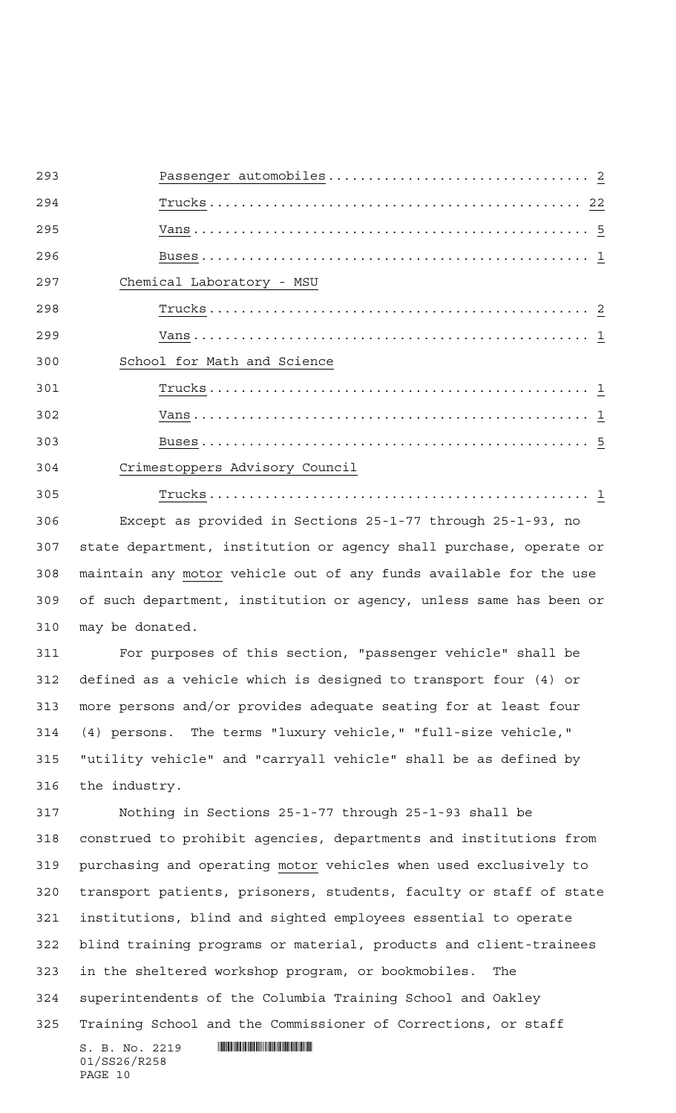| 293 |                                                                    |
|-----|--------------------------------------------------------------------|
| 294 |                                                                    |
| 295 |                                                                    |
| 296 |                                                                    |
| 297 | Chemical Laboratory - MSU                                          |
| 298 |                                                                    |
| 299 |                                                                    |
| 300 | School for Math and Science                                        |
| 301 |                                                                    |
| 302 |                                                                    |
| 303 |                                                                    |
| 304 | Crimestoppers Advisory Council                                     |
| 305 |                                                                    |
| 306 | Except as provided in Sections 25-1-77 through 25-1-93, no         |
| 307 | state department, institution or agency shall purchase, operate or |
| 308 | maintain any motor vehicle out of any funds available for the use  |
| 309 | of such department, institution or agency, unless same has been or |
| 310 | may be donated.                                                    |
| 311 | For purposes of this section, "passenger vehicle" shall be         |
| 312 | defined as a vehicle which is designed to transport four (4) or    |
| 313 | more persons and/or provides adequate seating for at least four    |
| 314 | (4) persons. The terms "luxury vehicle," "full-size vehicle,"      |
| 315 | "utility vehicle" and "carryall vehicle" shall be as defined by    |
| 316 | the industry.                                                      |
| 317 | Nothing in Sections 25-1-77 through 25-1-93 shall be               |
| 318 | construed to prohibit agencies, departments and institutions from  |

 purchasing and operating motor vehicles when used exclusively to transport patients, prisoners, students, faculty or staff of state institutions, blind and sighted employees essential to operate blind training programs or material, products and client-trainees in the sheltered workshop program, or bookmobiles. The superintendents of the Columbia Training School and Oakley Training School and the Commissioner of Corrections, or staff

 $S. B. No. 2219$  . Suppose the set of  $S. B. N_O. 2219$ 01/SS26/R258 PAGE 10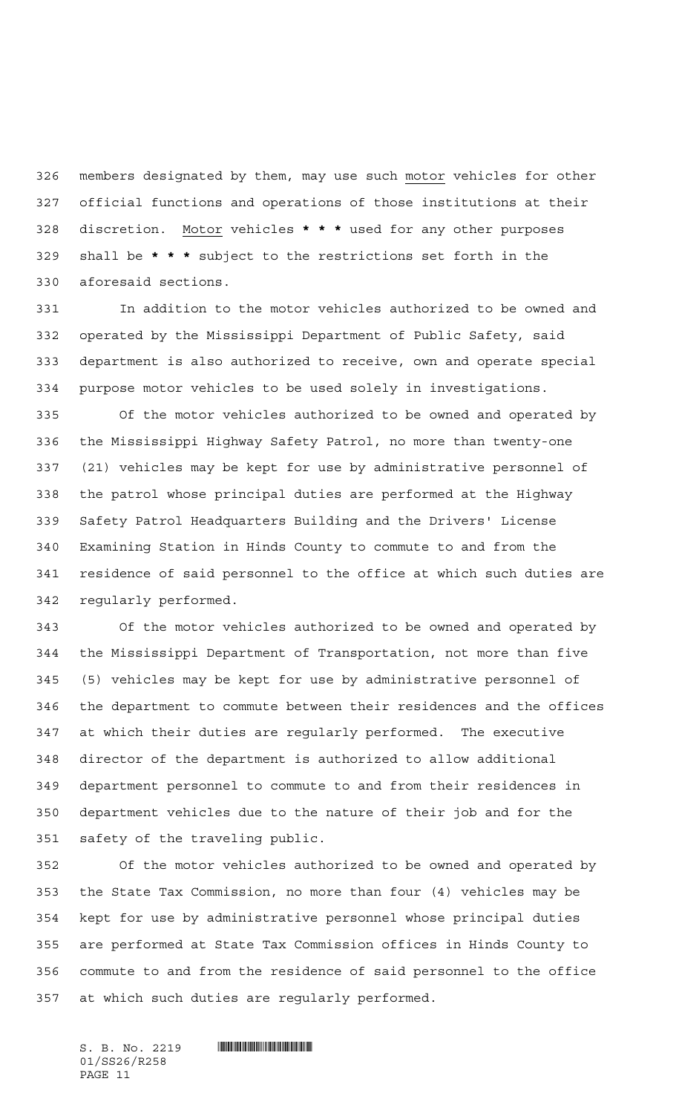326 members designated by them, may use such motor vehicles for other official functions and operations of those institutions at their discretion. Motor vehicles **\*\*\*** used for any other purposes shall be **\*\*\*** subject to the restrictions set forth in the aforesaid sections.

 In addition to the motor vehicles authorized to be owned and operated by the Mississippi Department of Public Safety, said department is also authorized to receive, own and operate special purpose motor vehicles to be used solely in investigations.

 Of the motor vehicles authorized to be owned and operated by the Mississippi Highway Safety Patrol, no more than twenty-one (21) vehicles may be kept for use by administrative personnel of the patrol whose principal duties are performed at the Highway Safety Patrol Headquarters Building and the Drivers' License Examining Station in Hinds County to commute to and from the residence of said personnel to the office at which such duties are regularly performed.

 Of the motor vehicles authorized to be owned and operated by the Mississippi Department of Transportation, not more than five (5) vehicles may be kept for use by administrative personnel of the department to commute between their residences and the offices at which their duties are regularly performed. The executive director of the department is authorized to allow additional department personnel to commute to and from their residences in department vehicles due to the nature of their job and for the safety of the traveling public.

 Of the motor vehicles authorized to be owned and operated by the State Tax Commission, no more than four (4) vehicles may be kept for use by administrative personnel whose principal duties are performed at State Tax Commission offices in Hinds County to commute to and from the residence of said personnel to the office at which such duties are regularly performed.

 $S. B. No. 2219$  . Suppose the set of  $S. B. N_O. 2219$ 01/SS26/R258 PAGE 11